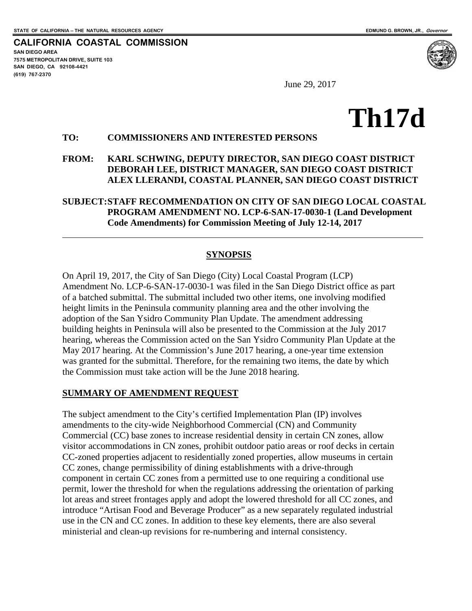**CALIFORNIA COASTAL COMMISSION SAN DIEGO AREA 7575 METROPOLITAN DRIVE, SUITE 103 SAN DIEGO, CA 92108-4421 (619) 767-2370**

 $\overline{a}$ 

June 29, 2017

# **Th17d**

#### **TO: COMMISSIONERS AND INTERESTED PERSONS**

#### **FROM: KARL SCHWING, DEPUTY DIRECTOR, SAN DIEGO COAST DISTRICT DEBORAH LEE, DISTRICT MANAGER, SAN DIEGO COAST DISTRICT ALEX LLERANDI, COASTAL PLANNER, SAN DIEGO COAST DISTRICT**

#### **SUBJECT:STAFF RECOMMENDATION ON CITY OF SAN DIEGO LOCAL COASTAL PROGRAM AMENDMENT NO. LCP-6-SAN-17-0030-1 (Land Development Code Amendments) for Commission Meeting of July 12-14, 2017**

#### **SYNOPSIS**

On April 19, 2017, the City of San Diego (City) Local Coastal Program (LCP) Amendment No. LCP-6-SAN-17-0030-1 was filed in the San Diego District office as part of a batched submittal. The submittal included two other items, one involving modified height limits in the Peninsula community planning area and the other involving the adoption of the San Ysidro Community Plan Update. The amendment addressing building heights in Peninsula will also be presented to the Commission at the July 2017 hearing, whereas the Commission acted on the San Ysidro Community Plan Update at the May 2017 hearing. At the Commission's June 2017 hearing, a one-year time extension was granted for the submittal. Therefore, for the remaining two items, the date by which the Commission must take action will be the June 2018 hearing.

#### **SUMMARY OF AMENDMENT REQUEST**

The subject amendment to the City's certified Implementation Plan (IP) involves amendments to the city-wide Neighborhood Commercial (CN) and Community Commercial (CC) base zones to increase residential density in certain CN zones, allow visitor accommodations in CN zones, prohibit outdoor patio areas or roof decks in certain CC-zoned properties adjacent to residentially zoned properties, allow museums in certain CC zones, change permissibility of dining establishments with a drive-through component in certain CC zones from a permitted use to one requiring a conditional use permit, lower the threshold for when the regulations addressing the orientation of parking lot areas and street frontages apply and adopt the lowered threshold for all CC zones, and introduce "Artisan Food and Beverage Producer" as a new separately regulated industrial use in the CN and CC zones. In addition to these key elements, there are also several ministerial and clean-up revisions for re-numbering and internal consistency.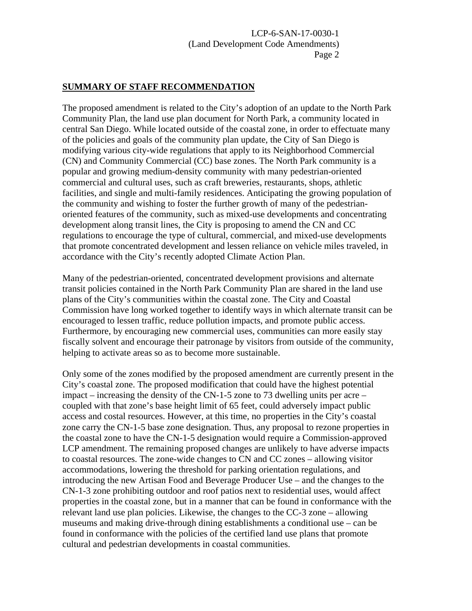#### **SUMMARY OF STAFF RECOMMENDATION**

The proposed amendment is related to the City's adoption of an update to the North Park Community Plan, the land use plan document for North Park, a community located in central San Diego. While located outside of the coastal zone, in order to effectuate many of the policies and goals of the community plan update, the City of San Diego is modifying various city-wide regulations that apply to its Neighborhood Commercial (CN) and Community Commercial (CC) base zones. The North Park community is a popular and growing medium-density community with many pedestrian-oriented commercial and cultural uses, such as craft breweries, restaurants, shops, athletic facilities, and single and multi-family residences. Anticipating the growing population of the community and wishing to foster the further growth of many of the pedestrianoriented features of the community, such as mixed-use developments and concentrating development along transit lines, the City is proposing to amend the CN and CC regulations to encourage the type of cultural, commercial, and mixed-use developments that promote concentrated development and lessen reliance on vehicle miles traveled, in accordance with the City's recently adopted Climate Action Plan.

Many of the pedestrian-oriented, concentrated development provisions and alternate transit policies contained in the North Park Community Plan are shared in the land use plans of the City's communities within the coastal zone. The City and Coastal Commission have long worked together to identify ways in which alternate transit can be encouraged to lessen traffic, reduce pollution impacts, and promote public access. Furthermore, by encouraging new commercial uses, communities can more easily stay fiscally solvent and encourage their patronage by visitors from outside of the community, helping to activate areas so as to become more sustainable.

Only some of the zones modified by the proposed amendment are currently present in the City's coastal zone. The proposed modification that could have the highest potential impact – increasing the density of the CN-1-5 zone to 73 dwelling units per acre – coupled with that zone's base height limit of 65 feet, could adversely impact public access and costal resources. However, at this time, no properties in the City's coastal zone carry the CN-1-5 base zone designation. Thus, any proposal to rezone properties in the coastal zone to have the CN-1-5 designation would require a Commission-approved LCP amendment. The remaining proposed changes are unlikely to have adverse impacts to coastal resources. The zone-wide changes to CN and CC zones – allowing visitor accommodations, lowering the threshold for parking orientation regulations, and introducing the new Artisan Food and Beverage Producer Use – and the changes to the CN-1-3 zone prohibiting outdoor and roof patios next to residential uses, would affect properties in the coastal zone, but in a manner that can be found in conformance with the relevant land use plan policies. Likewise, the changes to the CC-3 zone – allowing museums and making drive-through dining establishments a conditional use – can be found in conformance with the policies of the certified land use plans that promote cultural and pedestrian developments in coastal communities.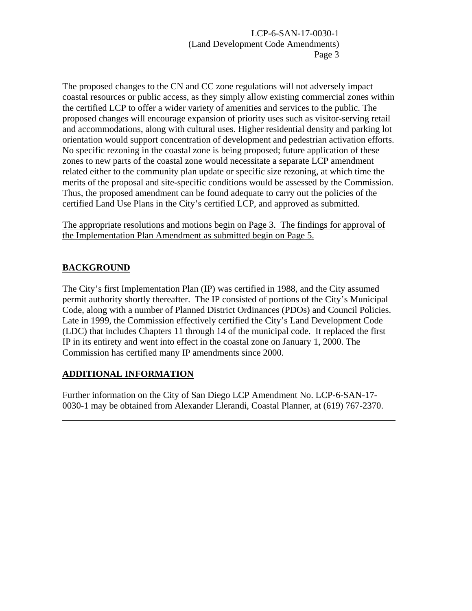The proposed changes to the CN and CC zone regulations will not adversely impact coastal resources or public access, as they simply allow existing commercial zones within the certified LCP to offer a wider variety of amenities and services to the public. The proposed changes will encourage expansion of priority uses such as visitor-serving retail and accommodations, along with cultural uses. Higher residential density and parking lot orientation would support concentration of development and pedestrian activation efforts. No specific rezoning in the coastal zone is being proposed; future application of these zones to new parts of the coastal zone would necessitate a separate LCP amendment related either to the community plan update or specific size rezoning, at which time the merits of the proposal and site-specific conditions would be assessed by the Commission. Thus, the proposed amendment can be found adequate to carry out the policies of the certified Land Use Plans in the City's certified LCP, and approved as submitted.

The appropriate resolutions and motions begin on Page 3. The findings for approval of the Implementation Plan Amendment as submitted begin on Page 5.

# **BACKGROUND**

 $\overline{a}$ 

The City's first Implementation Plan (IP) was certified in 1988, and the City assumed permit authority shortly thereafter. The IP consisted of portions of the City's Municipal Code, along with a number of Planned District Ordinances (PDOs) and Council Policies. Late in 1999, the Commission effectively certified the City's Land Development Code (LDC) that includes Chapters 11 through 14 of the municipal code. It replaced the first IP in its entirety and went into effect in the coastal zone on January 1, 2000. The Commission has certified many IP amendments since 2000.

#### **ADDITIONAL INFORMATION**

Further information on the City of San Diego LCP Amendment No. LCP-6-SAN-17- 0030-1 may be obtained from Alexander Llerandi, Coastal Planner, at (619) 767-2370.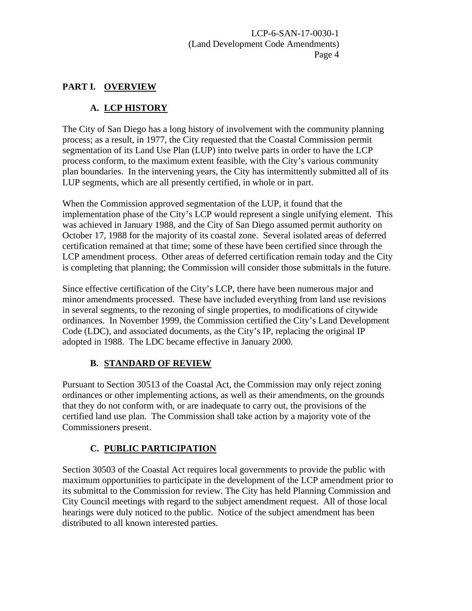#### **PART I. OVERVIEW**

# **A. LCP HISTORY**

The City of San Diego has a long history of involvement with the community planning process; as a result, in 1977, the City requested that the Coastal Commission permit segmentation of its Land Use Plan (LUP) into twelve parts in order to have the LCP process conform, to the maximum extent feasible, with the City's various community plan boundaries. In the intervening years, the City has intermittently submitted all of its LUP segments, which are all presently certified, in whole or in part.

When the Commission approved segmentation of the LUP, it found that the implementation phase of the City's LCP would represent a single unifying element. This was achieved in January 1988, and the City of San Diego assumed permit authority on October 17, 1988 for the majority of its coastal zone. Several isolated areas of deferred certification remained at that time; some of these have been certified since through the LCP amendment process. Other areas of deferred certification remain today and the City is completing that planning; the Commission will consider those submittals in the future.

Since effective certification of the City's LCP, there have been numerous major and minor amendments processed. These have included everything from land use revisions in several segments, to the rezoning of single properties, to modifications of citywide ordinances. In November 1999, the Commission certified the City's Land Development Code (LDC), and associated documents, as the City's IP, replacing the original IP adopted in 1988. The LDC became effective in January 2000.

# **B. STANDARD OF REVIEW**

Pursuant to Section 30513 of the Coastal Act, the Commission may only reject zoning ordinances or other implementing actions, as well as their amendments, on the grounds that they do not conform with, or are inadequate to carry out, the provisions of the certified land use plan. The Commission shall take action by a majority vote of the Commissioners present.

# **C. PUBLIC PARTICIPATION**

Section 30503 of the Coastal Act requires local governments to provide the public with maximum opportunities to participate in the development of the LCP amendment prior to its submittal to the Commission for review. The City has held Planning Commission and City Council meetings with regard to the subject amendment request. All of those local hearings were duly noticed to the public. Notice of the subject amendment has been distributed to all known interested parties.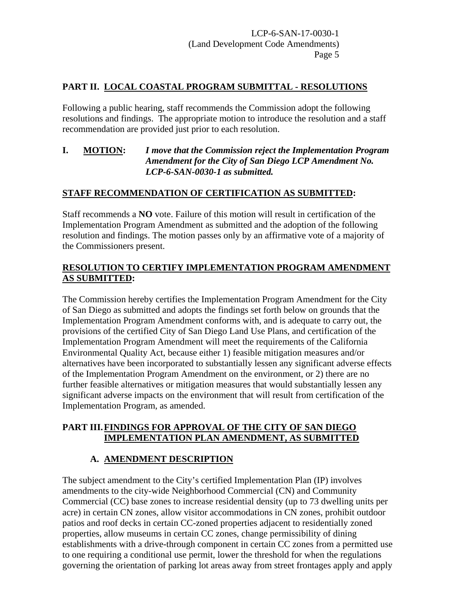# **PART II. LOCAL COASTAL PROGRAM SUBMITTAL - RESOLUTIONS**

Following a public hearing, staff recommends the Commission adopt the following resolutions and findings. The appropriate motion to introduce the resolution and a staff recommendation are provided just prior to each resolution.

#### **I. MOTION:** *I move that the Commission reject the Implementation Program Amendment for the City of San Diego LCP Amendment No. LCP-6-SAN-0030-1 as submitted.*

# **STAFF RECOMMENDATION OF CERTIFICATION AS SUBMITTED:**

Staff recommends a **NO** vote. Failure of this motion will result in certification of the Implementation Program Amendment as submitted and the adoption of the following resolution and findings. The motion passes only by an affirmative vote of a majority of the Commissioners present.

#### **RESOLUTION TO CERTIFY IMPLEMENTATION PROGRAM AMENDMENT AS SUBMITTED:**

The Commission hereby certifies the Implementation Program Amendment for the City of San Diego as submitted and adopts the findings set forth below on grounds that the Implementation Program Amendment conforms with, and is adequate to carry out, the provisions of the certified City of San Diego Land Use Plans, and certification of the Implementation Program Amendment will meet the requirements of the California Environmental Quality Act, because either 1) feasible mitigation measures and/or alternatives have been incorporated to substantially lessen any significant adverse effects of the Implementation Program Amendment on the environment, or 2) there are no further feasible alternatives or mitigation measures that would substantially lessen any significant adverse impacts on the environment that will result from certification of the Implementation Program, as amended.

#### **PART III.FINDINGS FOR APPROVAL OF THE CITY OF SAN DIEGO IMPLEMENTATION PLAN AMENDMENT, AS SUBMITTED**

#### **A. AMENDMENT DESCRIPTION**

The subject amendment to the City's certified Implementation Plan (IP) involves amendments to the city-wide Neighborhood Commercial (CN) and Community Commercial (CC) base zones to increase residential density (up to 73 dwelling units per acre) in certain CN zones, allow visitor accommodations in CN zones, prohibit outdoor patios and roof decks in certain CC-zoned properties adjacent to residentially zoned properties, allow museums in certain CC zones, change permissibility of dining establishments with a drive-through component in certain CC zones from a permitted use to one requiring a conditional use permit, lower the threshold for when the regulations governing the orientation of parking lot areas away from street frontages apply and apply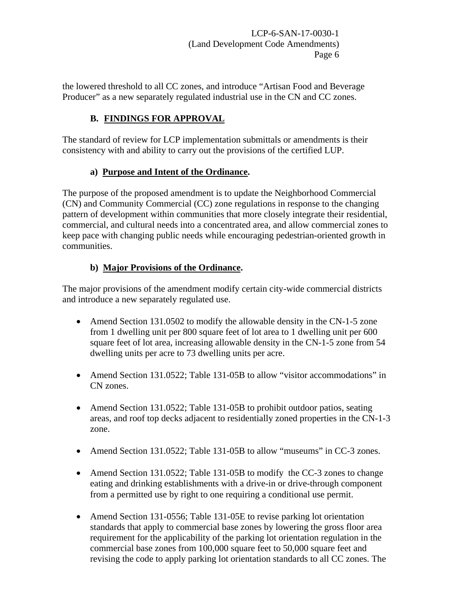the lowered threshold to all CC zones, and introduce "Artisan Food and Beverage Producer" as a new separately regulated industrial use in the CN and CC zones.

# **B. FINDINGS FOR APPROVAL**

The standard of review for LCP implementation submittals or amendments is their consistency with and ability to carry out the provisions of the certified LUP.

# **a) Purpose and Intent of the Ordinance.**

The purpose of the proposed amendment is to update the Neighborhood Commercial (CN) and Community Commercial (CC) zone regulations in response to the changing pattern of development within communities that more closely integrate their residential, commercial, and cultural needs into a concentrated area, and allow commercial zones to keep pace with changing public needs while encouraging pedestrian-oriented growth in communities.

# **b) Major Provisions of the Ordinance.**

The major provisions of the amendment modify certain city-wide commercial districts and introduce a new separately regulated use.

- Amend Section 131.0502 to modify the allowable density in the CN-1-5 zone from 1 dwelling unit per 800 square feet of lot area to 1 dwelling unit per 600 square feet of lot area, increasing allowable density in the CN-1-5 zone from 54 dwelling units per acre to 73 dwelling units per acre.
- Amend Section 131.0522; Table 131-05B to allow "visitor accommodations" in CN zones.
- Amend Section 131.0522; Table 131-05B to prohibit outdoor patios, seating areas, and roof top decks adjacent to residentially zoned properties in the CN-1-3 zone.
- Amend Section 131.0522; Table 131-05B to allow "museums" in CC-3 zones.
- Amend Section 131.0522; Table 131-05B to modify the CC-3 zones to change eating and drinking establishments with a drive-in or drive-through component from a permitted use by right to one requiring a conditional use permit.
- Amend Section 131-0556; Table 131-05E to revise parking lot orientation standards that apply to commercial base zones by lowering the gross floor area requirement for the applicability of the parking lot orientation regulation in the commercial base zones from 100,000 square feet to 50,000 square feet and revising the code to apply parking lot orientation standards to all CC zones. The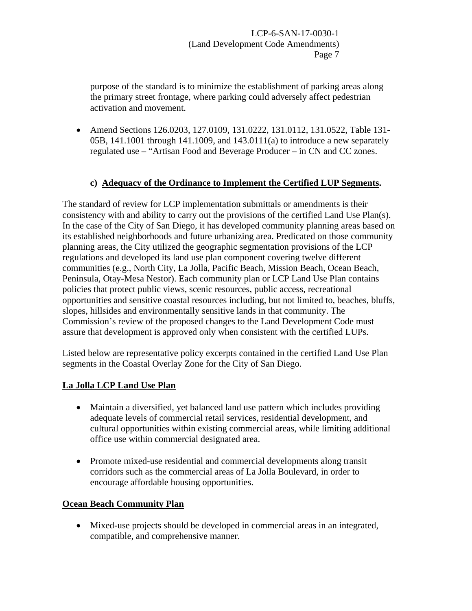purpose of the standard is to minimize the establishment of parking areas along the primary street frontage, where parking could adversely affect pedestrian activation and movement.

• Amend Sections 126.0203, 127.0109, 131.0222, 131.0112, 131.0522, Table 131-05B, 141.1001 through 141.1009, and 143.0111(a) to introduce a new separately regulated use – "Artisan Food and Beverage Producer – in CN and CC zones.

#### **c) Adequacy of the Ordinance to Implement the Certified LUP Segments.**

The standard of review for LCP implementation submittals or amendments is their consistency with and ability to carry out the provisions of the certified Land Use Plan(s). In the case of the City of San Diego, it has developed community planning areas based on its established neighborhoods and future urbanizing area. Predicated on those community planning areas, the City utilized the geographic segmentation provisions of the LCP regulations and developed its land use plan component covering twelve different communities (e.g., North City, La Jolla, Pacific Beach, Mission Beach, Ocean Beach, Peninsula, Otay-Mesa Nestor). Each community plan or LCP Land Use Plan contains policies that protect public views, scenic resources, public access, recreational opportunities and sensitive coastal resources including, but not limited to, beaches, bluffs, slopes, hillsides and environmentally sensitive lands in that community. The Commission's review of the proposed changes to the Land Development Code must assure that development is approved only when consistent with the certified LUPs.

Listed below are representative policy excerpts contained in the certified Land Use Plan segments in the Coastal Overlay Zone for the City of San Diego.

#### **La Jolla LCP Land Use Plan**

- Maintain a diversified, yet balanced land use pattern which includes providing adequate levels of commercial retail services, residential development, and cultural opportunities within existing commercial areas, while limiting additional office use within commercial designated area.
- Promote mixed-use residential and commercial developments along transit corridors such as the commercial areas of La Jolla Boulevard, in order to encourage affordable housing opportunities.

#### **Ocean Beach Community Plan**

• Mixed-use projects should be developed in commercial areas in an integrated, compatible, and comprehensive manner.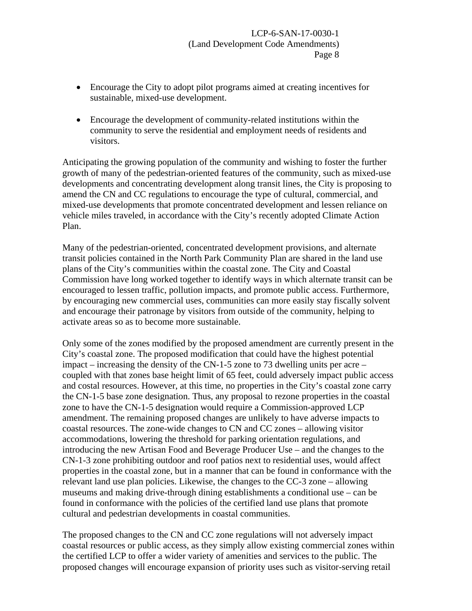- Encourage the City to adopt pilot programs aimed at creating incentives for sustainable, mixed-use development.
- Encourage the development of community-related institutions within the community to serve the residential and employment needs of residents and visitors.

Anticipating the growing population of the community and wishing to foster the further growth of many of the pedestrian-oriented features of the community, such as mixed-use developments and concentrating development along transit lines, the City is proposing to amend the CN and CC regulations to encourage the type of cultural, commercial, and mixed-use developments that promote concentrated development and lessen reliance on vehicle miles traveled, in accordance with the City's recently adopted Climate Action Plan.

Many of the pedestrian-oriented, concentrated development provisions, and alternate transit policies contained in the North Park Community Plan are shared in the land use plans of the City's communities within the coastal zone. The City and Coastal Commission have long worked together to identify ways in which alternate transit can be encouraged to lessen traffic, pollution impacts, and promote public access. Furthermore, by encouraging new commercial uses, communities can more easily stay fiscally solvent and encourage their patronage by visitors from outside of the community, helping to activate areas so as to become more sustainable.

Only some of the zones modified by the proposed amendment are currently present in the City's coastal zone. The proposed modification that could have the highest potential impact – increasing the density of the CN-1-5 zone to 73 dwelling units per acre – coupled with that zones base height limit of 65 feet, could adversely impact public access and costal resources. However, at this time, no properties in the City's coastal zone carry the CN-1-5 base zone designation. Thus, any proposal to rezone properties in the coastal zone to have the CN-1-5 designation would require a Commission-approved LCP amendment. The remaining proposed changes are unlikely to have adverse impacts to coastal resources. The zone-wide changes to CN and CC zones – allowing visitor accommodations, lowering the threshold for parking orientation regulations, and introducing the new Artisan Food and Beverage Producer Use – and the changes to the CN-1-3 zone prohibiting outdoor and roof patios next to residential uses, would affect properties in the coastal zone, but in a manner that can be found in conformance with the relevant land use plan policies. Likewise, the changes to the CC-3 zone – allowing museums and making drive-through dining establishments a conditional use – can be found in conformance with the policies of the certified land use plans that promote cultural and pedestrian developments in coastal communities.

The proposed changes to the CN and CC zone regulations will not adversely impact coastal resources or public access, as they simply allow existing commercial zones within the certified LCP to offer a wider variety of amenities and services to the public. The proposed changes will encourage expansion of priority uses such as visitor-serving retail